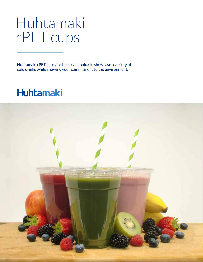## Huhtamaki rPET cups

Huhtamaki rPET cups are the clear choice to showcase a variety of cold drinks while showing your commitment to the environment.

## **Huhtamaki**